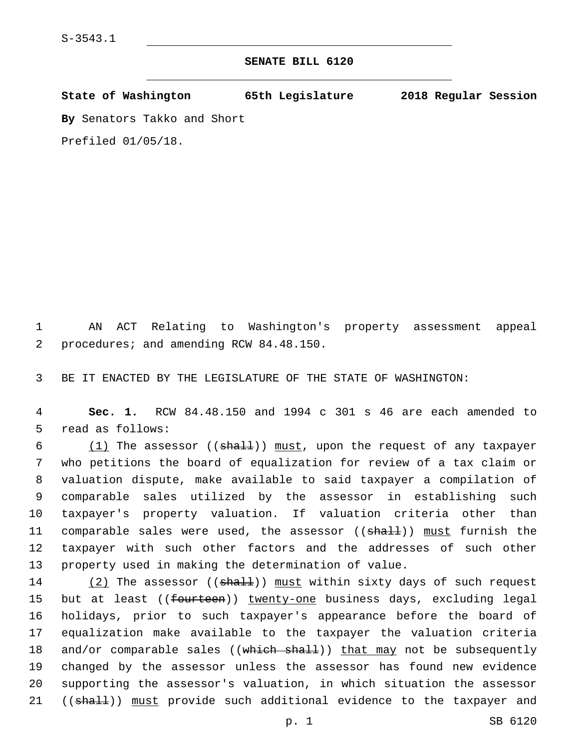## **SENATE BILL 6120**

**State of Washington 65th Legislature 2018 Regular Session**

**By** Senators Takko and Short

Prefiled 01/05/18.

1 AN ACT Relating to Washington's property assessment appeal 2 procedures; and amending RCW 84.48.150.

3 BE IT ENACTED BY THE LEGISLATURE OF THE STATE OF WASHINGTON:

4 **Sec. 1.** RCW 84.48.150 and 1994 c 301 s 46 are each amended to 5 read as follows:

 $(1)$  The assessor (( $shall$ )) must, upon the request of any taxpayer who petitions the board of equalization for review of a tax claim or valuation dispute, make available to said taxpayer a compilation of comparable sales utilized by the assessor in establishing such taxpayer's property valuation. If valuation criteria other than 11 comparable sales were used, the assessor ((shall)) must furnish the taxpayer with such other factors and the addresses of such other property used in making the determination of value.

14 (2) The assessor ((shall)) must within sixty days of such request 15 but at least ((fourteen)) twenty-one business days, excluding legal 16 holidays, prior to such taxpayer's appearance before the board of 17 equalization make available to the taxpayer the valuation criteria 18 and/or comparable sales  $((which shall))$  that may not be subsequently 19 changed by the assessor unless the assessor has found new evidence 20 supporting the assessor's valuation, in which situation the assessor 21 ((shall)) must provide such additional evidence to the taxpayer and